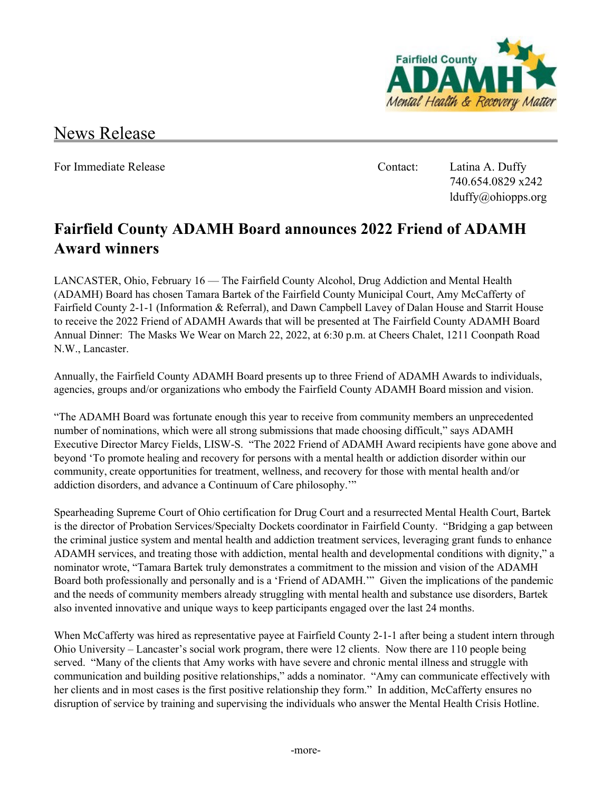

## News Release

For Immediate Release **Contact:** Latina A. Duffy

740.654.0829 x242 lduffy@ohiopps.org

## **Fairfield County ADAMH Board announces 2022 Friend of ADAMH Award winners**

LANCASTER, Ohio, February 16 — The Fairfield County Alcohol, Drug Addiction and Mental Health (ADAMH) Board has chosen Tamara Bartek of the Fairfield County Municipal Court, Amy McCafferty of Fairfield County 2-1-1 (Information & Referral), and Dawn Campbell Lavey of Dalan House and Starrit House to receive the 2022 Friend of ADAMH Awards that will be presented at The Fairfield County ADAMH Board Annual Dinner: The Masks We Wear on March 22, 2022, at 6:30 p.m. at Cheers Chalet, 1211 Coonpath Road N.W., Lancaster.

Annually, the Fairfield County ADAMH Board presents up to three Friend of ADAMH Awards to individuals, agencies, groups and/or organizations who embody the Fairfield County ADAMH Board mission and vision.

"The ADAMH Board was fortunate enough this year to receive from community members an unprecedented number of nominations, which were all strong submissions that made choosing difficult," says ADAMH Executive Director Marcy Fields, LISW-S. "The 2022 Friend of ADAMH Award recipients have gone above and beyond 'To promote healing and recovery for persons with a mental health or addiction disorder within our community, create opportunities for treatment, wellness, and recovery for those with mental health and/or addiction disorders, and advance a Continuum of Care philosophy.'"

Spearheading Supreme Court of Ohio certification for Drug Court and a resurrected Mental Health Court, Bartek is the director of Probation Services/Specialty Dockets coordinator in Fairfield County. "Bridging a gap between the criminal justice system and mental health and addiction treatment services, leveraging grant funds to enhance ADAMH services, and treating those with addiction, mental health and developmental conditions with dignity," a nominator wrote, "Tamara Bartek truly demonstrates a commitment to the mission and vision of the ADAMH Board both professionally and personally and is a 'Friend of ADAMH.'" Given the implications of the pandemic and the needs of community members already struggling with mental health and substance use disorders, Bartek also invented innovative and unique ways to keep participants engaged over the last 24 months.

When McCafferty was hired as representative payee at Fairfield County 2-1-1 after being a student intern through Ohio University – Lancaster's social work program, there were 12 clients. Now there are 110 people being served. "Many of the clients that Amy works with have severe and chronic mental illness and struggle with communication and building positive relationships," adds a nominator. "Amy can communicate effectively with her clients and in most cases is the first positive relationship they form." In addition, McCafferty ensures no disruption of service by training and supervising the individuals who answer the Mental Health Crisis Hotline.